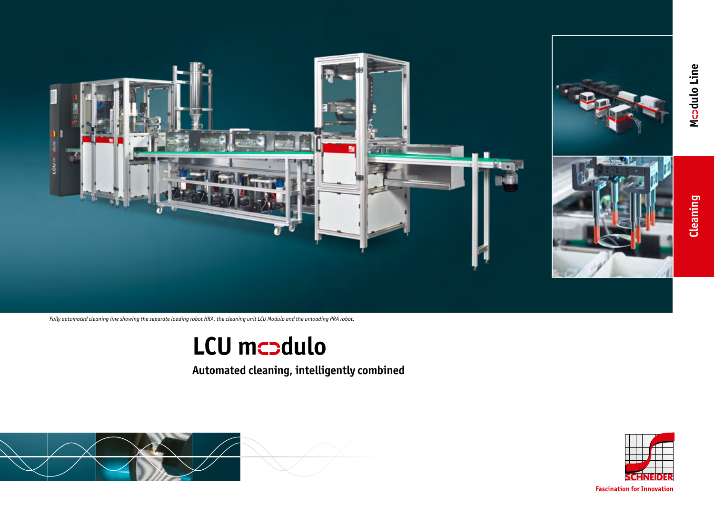

*Fully automated cleaning line showing the separate loading robot HRA, the cleaning unit LCU Modulo and the unloading PRA robot.*

# **LCU mcodulo**

**Automated cleaning, intelligently combined**



**Fascination for Innovation**